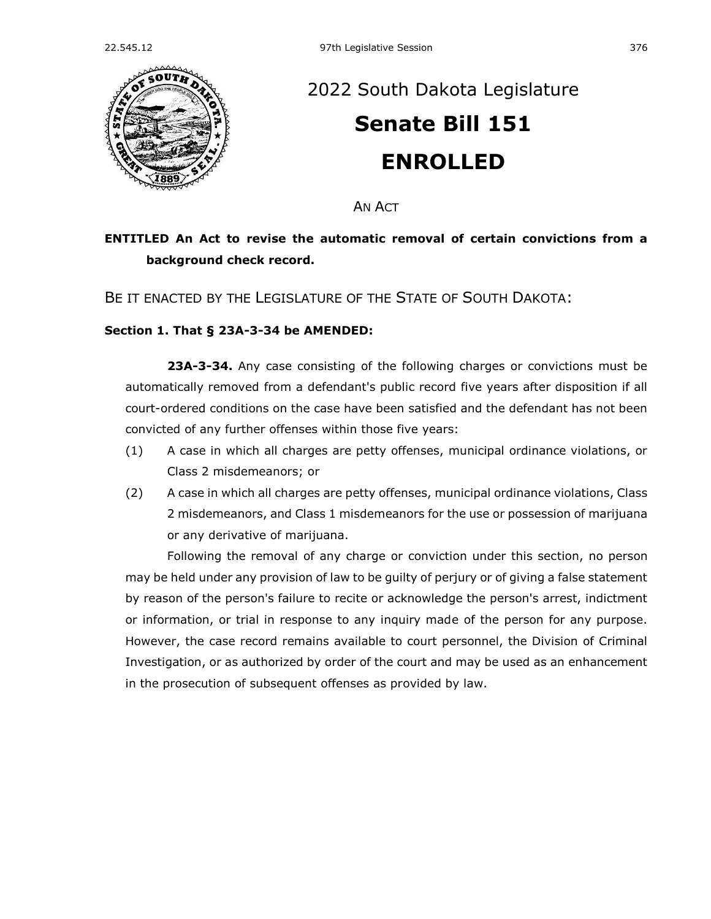

## [2022 South Dakota Legislature](https://sdlegislature.gov/Session/Bills/64) **[Senate Bill 151](https://sdlegislature.gov/Session/Bill/23116) ENROLLED**

AN ACT

## **ENTITLED An Act to revise the automatic removal of certain convictions from a background check record.**

BE IT ENACTED BY THE LEGISLATURE OF THE STATE OF SOUTH DAKOTA:

## **Section 1. [That § 23A-3-34 be AMENDED:](https://sdlegislature.gov/Statutes?Statute=23A-3-34)**

**[23A-3-34.](https://sdlegislature.gov/Statutes/Codified_Laws/DisplayStatute.aspx?Type=Statute&Statute=23A-3-34)** Any case consisting of the following charges or convictions must be automatically removed from a defendant's public record five years after disposition if all court-ordered conditions on the case have been satisfied and the defendant has not been convicted of any further offenses within those five years:

- (1) A case in which all charges are petty offenses, municipal ordinance violations, or Class 2 misdemeanors; or
- (2) A case in which all charges are petty offenses, municipal ordinance violations, Class 2 misdemeanors, and Class 1 misdemeanors for the use or possession of marijuana or any derivative of marijuana.

Following the removal of any charge or conviction under this section, no person may be held under any provision of law to be guilty of perjury or of giving a false statement by reason of the person's failure to recite or acknowledge the person's arrest, indictment or information, or trial in response to any inquiry made of the person for any purpose. However, the case record remains available to court personnel, the Division of Criminal Investigation, or as authorized by order of the court and may be used as an enhancement in the prosecution of subsequent offenses as provided by law.